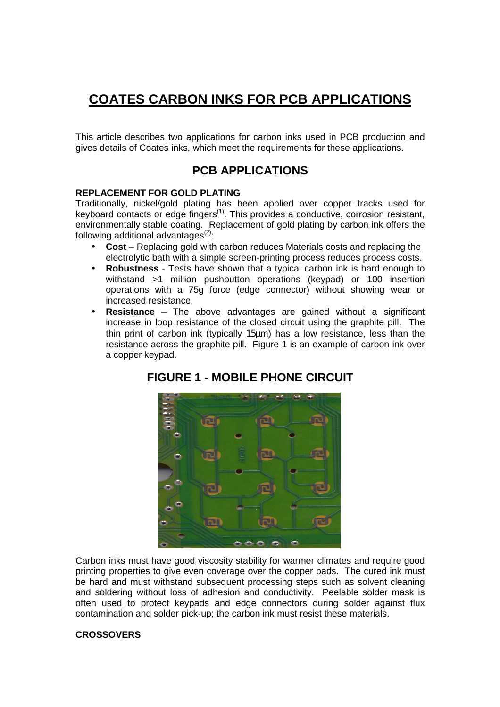# **COATES CARBON INKS FOR PCB APPLICATIONS**

This article describes two applications for carbon inks used in PCB production and gives details of Coates inks, which meet the requirements for these applications.

### **PCB APPLICATIONS**

#### **REPLACEMENT FOR GOLD PLATING**

Traditionally, nickel/gold plating has been applied over copper tracks used for keyboard contacts or edge fingers<sup>(1)</sup>. This provides a conductive, corrosion resistant, environmentally stable coating. Replacement of gold plating by carbon ink offers the following additional advantages $(2)$ :

- **Cost** Replacing gold with carbon reduces Materials costs and replacing the electrolytic bath with a simple screen-printing process reduces process costs.
- **Robustness** Tests have shown that a typical carbon ink is hard enough to withstand >1 million pushbutton operations (keypad) or 100 insertion operations with a 75g force (edge connector) without showing wear or increased resistance.
- **Resistance** The above advantages are gained without a significant increase in loop resistance of the closed circuit using the graphite pill. The thin print of carbon ink (typically 15µm) has a low resistance, less than the resistance across the graphite pill. Figure 1 is an example of carbon ink over a copper keypad.



### **FIGURE 1 - MOBILE PHONE CIRCUIT**

Carbon inks must have good viscosity stability for warmer climates and require good printing properties to give even coverage over the copper pads. The cured ink must be hard and must withstand subsequent processing steps such as solvent cleaning and soldering without loss of adhesion and conductivity. Peelable solder mask is often used to protect keypads and edge connectors during solder against flux contamination and solder pick-up; the carbon ink must resist these materials.

#### **CROSSOVERS**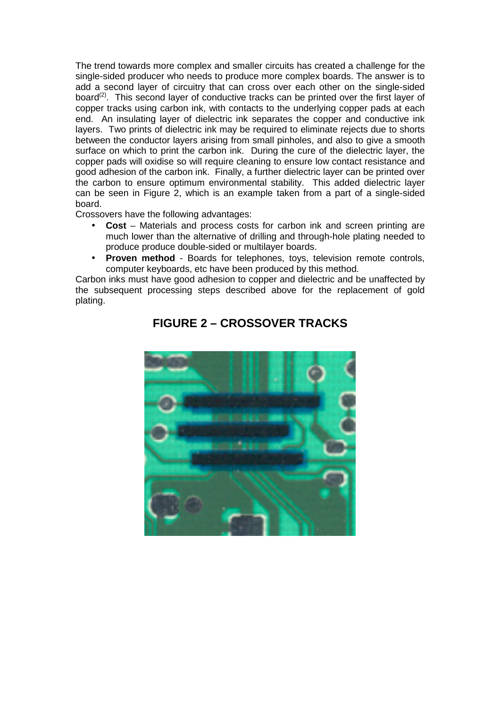The trend towards more complex and smaller circuits has created a challenge for the single-sided producer who needs to produce more complex boards. The answer is to add a second layer of circuitry that can cross over each other on the single-sided board<sup>(2)</sup>. This second layer of conductive tracks can be printed over the first layer of copper tracks using carbon ink, with contacts to the underlying copper pads at each end. An insulating layer of dielectric ink separates the copper and conductive ink layers. Two prints of dielectric ink may be required to eliminate rejects due to shorts between the conductor layers arising from small pinholes, and also to give a smooth surface on which to print the carbon ink. During the cure of the dielectric layer, the copper pads will oxidise so will require cleaning to ensure low contact resistance and good adhesion of the carbon ink. Finally, a further dielectric layer can be printed over the carbon to ensure optimum environmental stability. This added dielectric layer can be seen in Figure 2, which is an example taken from a part of a single-sided board.

Crossovers have the following advantages:

- **Cost** Materials and process costs for carbon ink and screen printing are much lower than the alternative of drilling and through-hole plating needed to produce produce double-sided or multilayer boards.
- **Proven method** Boards for telephones, toys, television remote controls, computer keyboards, etc have been produced by this method.

Carbon inks must have good adhesion to copper and dielectric and be unaffected by the subsequent processing steps described above for the replacement of gold plating.



# **FIGURE 2 – CROSSOVER TRACKS**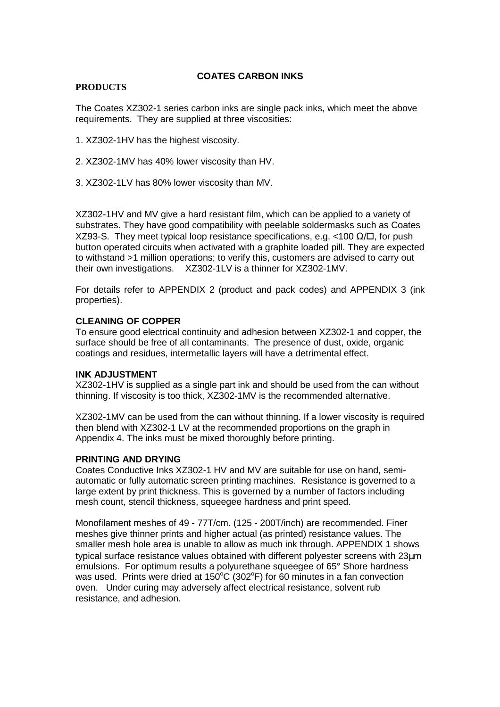#### **COATES CARBON INKS**

#### **PRODUCTS**

The Coates XZ302-1 series carbon inks are single pack inks, which meet the above requirements. They are supplied at three viscosities:

- 1. XZ302-1HV has the highest viscosity.
- 2. XZ302-1MV has 40% lower viscosity than HV.
- 3. XZ302-1LV has 80% lower viscosity than MV.

XZ302-1HV and MV give a hard resistant film, which can be applied to a variety of substrates. They have good compatibility with peelable soldermasks such as Coates XZ93-S. They meet typical loop resistance specifications, e.g. <100  $\Omega/\square$ , for push button operated circuits when activated with a graphite loaded pill. They are expected to withstand >1 million operations; to verify this, customers are advised to carry out their own investigations. XZ302-1LV is a thinner for XZ302-1MV.

For details refer to APPENDIX 2 (product and pack codes) and APPENDIX 3 (ink properties).

#### **CLEANING OF COPPER**

To ensure good electrical continuity and adhesion between XZ302-1 and copper, the surface should be free of all contaminants. The presence of dust, oxide, organic coatings and residues, intermetallic layers will have a detrimental effect.

#### **INK ADJUSTMENT**

XZ302-1HV is supplied as a single part ink and should be used from the can without thinning. If viscosity is too thick, XZ302-1MV is the recommended alternative.

XZ302-1MV can be used from the can without thinning. If a lower viscosity is required then blend with XZ302-1 LV at the recommended proportions on the graph in Appendix 4. The inks must be mixed thoroughly before printing.

#### **PRINTING AND DRYING**

Coates Conductive Inks XZ302-1 HV and MV are suitable for use on hand, semiautomatic or fully automatic screen printing machines. Resistance is governed to a large extent by print thickness. This is governed by a number of factors including mesh count, stencil thickness, squeegee hardness and print speed.

Monofilament meshes of 49 - 77T/cm. (125 - 200T/inch) are recommended. Finer meshes give thinner prints and higher actual (as printed) resistance values. The smaller mesh hole area is unable to allow as much ink through. APPENDIX 1 shows typical surface resistance values obtained with different polyester screens with 23µm emulsions. For optimum results a polyurethane squeegee of 65° Shore hardness was used. Prints were dried at 150 $\rm ^{o}C$  (302 $\rm ^{o}F$ ) for 60 minutes in a fan convection oven.Under curing may adversely affect electrical resistance, solvent rub resistance, and adhesion.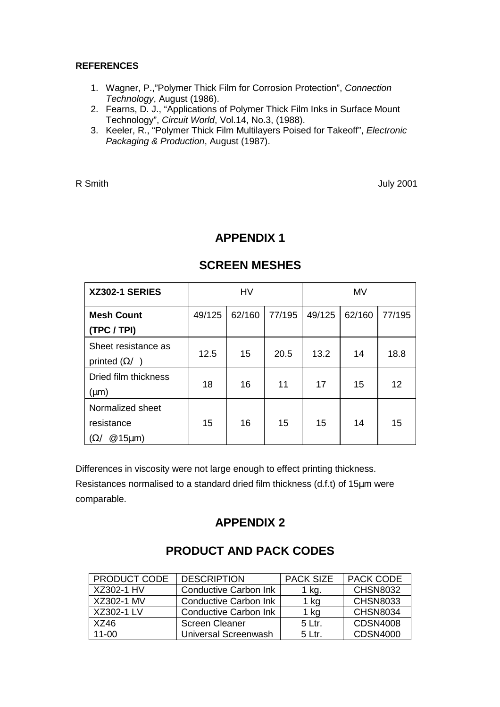### **REFERENCES**

- 1. Wagner, P.,"Polymer Thick Film for Corrosion Protection", *Connection Technology*, August (1986).
- 2. Fearns, D. J., "Applications of Polymer Thick Film Inks in Surface Mount Technology", *Circuit World*, Vol.14, No.3, (1988).
- 3. Keeler, R., "Polymer Thick Film Multilayers Poised for Takeoff", *Electronic Packaging & Production*, August (1987).

R Smith July 2001

### **APPENDIX 1**

| <b>XZ302-1 SERIES</b>                                      | <b>HV</b> |        |        | <b>MV</b> |        |        |
|------------------------------------------------------------|-----------|--------|--------|-----------|--------|--------|
| <b>Mesh Count</b><br>(TPC / TPI)                           | 49/125    | 62/160 | 77/195 | 49/125    | 62/160 | 77/195 |
| Sheet resistance as<br>printed $(\Omega/\)$                | 12.5      | 15     | 20.5   | 13.2      | 14     | 18.8   |
| Dried film thickness<br>(µm)                               | 18        | 16     | 11     | 17        | 15     | 12     |
| Normalized sheet<br>resistance<br>$@15\mu m)$<br>$\Omega/$ | 15        | 16     | 15     | 15        | 14     | 15     |

### **SCREEN MESHES**

Differences in viscosity were not large enough to effect printing thickness.

Resistances normalised to a standard dried film thickness (d.f.t) of 15µm were comparable.

# **APPENDIX 2**

### PRODUCT CODE DESCRIPTION | PACK SIZE | PACK CODE XZ302-1 HV Conductive Carbon Ink 1 kg. CHSN8032 XZ302-1 MV Conductive Carbon Ink 1 kg CHSN8033 XZ302-1 LV Conductive Carbon Ink 1 kg CHSN8034 XZ46 | Screen Cleaner | 5 Ltr. | CDSN4008 11-00 | Universal Screenwash | 5 Ltr. | CDSN4000

### **PRODUCT AND PACK CODES**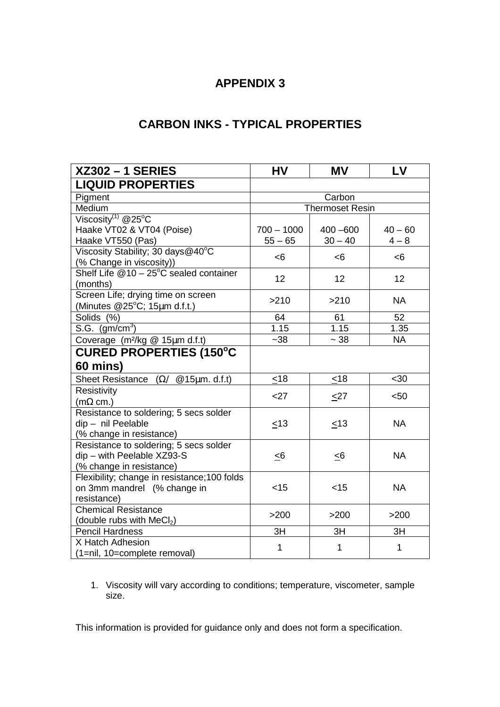# **APPENDIX 3**

# **CARBON INKS - TYPICAL PROPERTIES**

| <b>XZ302-1 SERIES</b>                                   | HV                     | <b>MV</b>   | LV        |  |  |
|---------------------------------------------------------|------------------------|-------------|-----------|--|--|
| <b>LIQUID PROPERTIES</b>                                |                        |             |           |  |  |
| Pigment                                                 | Carbon                 |             |           |  |  |
| Medium                                                  | <b>Thermoset Resin</b> |             |           |  |  |
| Viscosity $^{(1)}$ @25°C                                |                        |             |           |  |  |
| Haake VT02 & VT04 (Poise)                               | $700 - 1000$           | $400 - 600$ | $40 - 60$ |  |  |
| Haake VT550 (Pas)                                       | $55 - 65$              | $30 - 40$   | $4 - 8$   |  |  |
| Viscosity Stability; 30 days@40°C                       | <6                     | <6          | <6        |  |  |
| (% Change in viscosity))                                |                        |             |           |  |  |
| Shelf Life $@10 - 25^\circ C$ sealed container          | 12                     | 12          | 12        |  |  |
| (months)                                                |                        |             |           |  |  |
| Screen Life; drying time on screen                      | >210                   | >210        | <b>NA</b> |  |  |
| (Minutes $@25^{\circ}C$ ; 15µm d.f.t.)                  |                        |             |           |  |  |
| Solids (%)                                              | 64                     | 61          | 52        |  |  |
| S.G. $(gm/cm3)$                                         | 1.15                   | 1.15        | 1.35      |  |  |
| Coverage (m <sup>2</sup> /kg @ 15µm d.f.t)              | $-38$                  | $\sim 38$   | <b>NA</b> |  |  |
| <b>CURED PROPERTIES (150°C</b>                          |                        |             |           |  |  |
| 60 mins)                                                |                        |             |           |  |  |
| Sheet Resistance $(\Omega / \mathcal{Q}15\mu m. d.f.t)$ | $\leq 18$              | <18         | <30       |  |  |
| Resistivity                                             | $27$                   |             | < 50      |  |  |
| $(m\Omega \text{ cm.})$                                 |                        | $\leq$ 27   |           |  |  |
| Resistance to soldering; 5 secs solder                  |                        |             |           |  |  |
| dip - nil Peelable                                      | < 13                   | < 13        | <b>NA</b> |  |  |
| (% change in resistance)                                |                        |             |           |  |  |
| Resistance to soldering; 5 secs solder                  |                        |             |           |  |  |
| dip - with Peelable XZ93-S                              | $\leq 6$               | $\leq 6$    | <b>NA</b> |  |  |
| (% change in resistance)                                |                        |             |           |  |  |
| Flexibility; change in resistance; 100 folds            |                        |             |           |  |  |
| on 3mm mandrel (% change in                             | < 15                   | $<$ 15      | <b>NA</b> |  |  |
| resistance)                                             |                        |             |           |  |  |
| <b>Chemical Resistance</b>                              | >200                   | $>200$      | >200      |  |  |
| (double rubs with MeCl <sub>2</sub> )                   |                        |             |           |  |  |
| <b>Pencil Hardness</b>                                  | 3H                     | 3H          | 3H        |  |  |
| X Hatch Adhesion                                        | 1                      | 1           | 1         |  |  |
| (1=nil, 10=complete removal)                            |                        |             |           |  |  |

1. Viscosity will vary according to conditions; temperature, viscometer, sample size.

This information is provided for guidance only and does not form a specification.